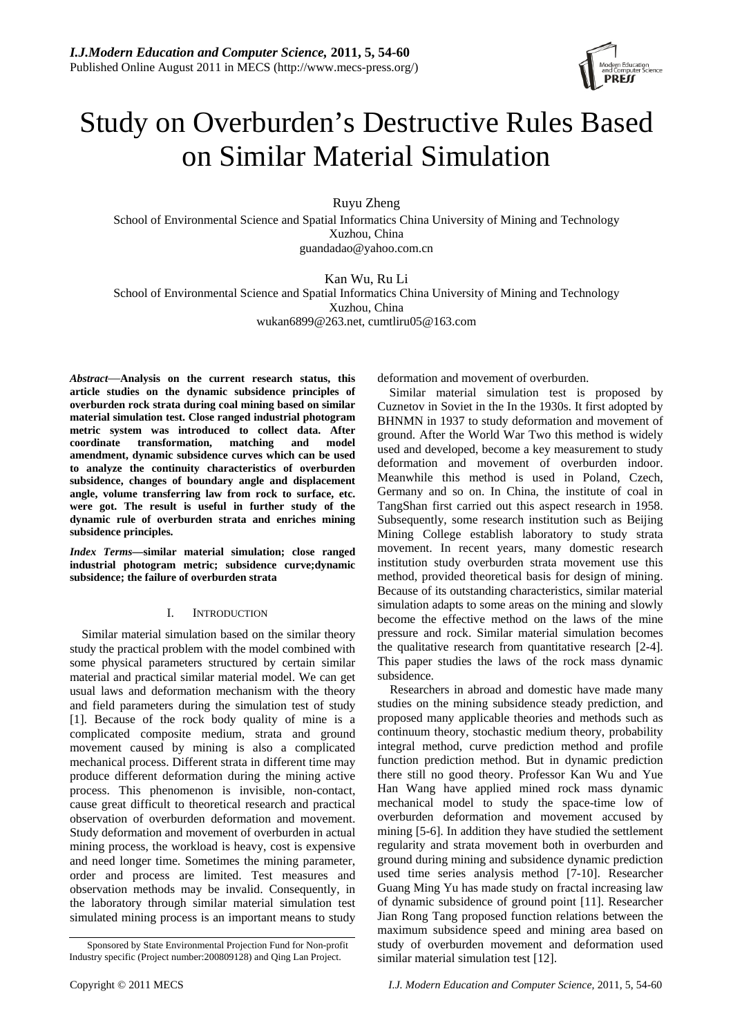

# Study on Overburden's Destructive Rules Based on Similar Material Simulation

Ruyu Zheng

School of Environmental Science and Spatial Informatics China University of Mining and Technology Xuzhou, China guandadao@yahoo.com.cn

Kan Wu, Ru Li School of Environmental Science and Spatial Informatics China University of Mining and Technology Xuzhou, China wukan6899@263.net, cumtliru05@163.com

*Abstract*—**Analysis on the current research status, this article studies on the dynamic subsidence principles of overburden rock strata during coal mining based on similar material simulation test. Close ranged industrial photogram metric system was introduced to collect data. After coordinate transformation, matching and model amendment, dynamic subsidence curves which can be used to analyze the continuity characteristics of overburden subsidence, changes of boundary angle and displacement angle, volume transferring law from rock to surface, etc. were got. The result is useful in further study of the dynamic rule of overburden strata and enriches mining subsidence principles.** 

*Index Terms—***similar material simulation; close ranged industrial photogram metric; subsidence curve;dynamic subsidence; the failure of overburden strata**

## I. INTRODUCTION

Similar material simulation based on the similar theory study the practical problem with the model combined with some physical parameters structured by certain similar material and practical similar material model. We can get usual laws and deformation mechanism with the theory and field parameters during the simulation test of study [1]. Because of the rock body quality of mine is a complicated composite medium, strata and ground movement caused by mining is also a complicated mechanical process. Different strata in different time may produce different deformation during the mining active process. This phenomenon is invisible, non-contact, cause great difficult to theoretical research and practical observation of overburden deformation and movement. Study deformation and movement of overburden in actual mining process, the workload is heavy, cost is expensive and need longer time. Sometimes the mining parameter, order and process are limited. Test measures and observation methods may be invalid. Consequently, in the laboratory through similar material simulation test simulated mining process is an important means to study

deformation and movement of overburden.

Similar material simulation test is proposed by Cuznetov in Soviet in the In the 1930s. It first adopted by BHNMN in 1937 to study deformation and movement of ground. After the World War Two this method is widely used and developed, become a key measurement to study deformation and movement of overburden indoor. Meanwhile this method is used in Poland, Czech, Germany and so on. In China, the institute of coal in TangShan first carried out this aspect research in 1958. Subsequently, some research institution such as Beijing Mining College establish laboratory to study strata movement. In recent years, many domestic research institution study overburden strata movement use this method, provided theoretical basis for design of mining. Because of its outstanding characteristics, similar material simulation adapts to some areas on the mining and slowly become the effective method on the laws of the mine pressure and rock. Similar material simulation becomes the qualitative research from quantitative research [2-4]. This paper studies the laws of the rock mass dynamic subsidence.

Researchers in abroad and domestic have made many studies on the mining subsidence steady prediction, and proposed many applicable theories and methods such as continuum theory, stochastic medium theory, probability integral method, curve prediction method and profile function prediction method. But in dynamic prediction there still no good theory. Professor Kan Wu and Yue Han Wang have applied mined rock mass dynamic mechanical model to study the space-time low of overburden deformation and movement accused by mining [5-6]. In addition they have studied the settlement regularity and strata movement both in overburden and ground during mining and subsidence dynamic prediction used time series analysis method [7-10]. Researcher Guang Ming Yu has made study on fractal increasing law of dynamic subsidence of ground point [11]. Researcher Jian Rong Tang proposed function relations between the maximum subsidence speed and mining area based on study of overburden movement and deformation used similar material simulation test [12].

Sponsored by State Environmental Projection Fund for Non-profit Industry specific (Project number:200809128) and Qing Lan Project.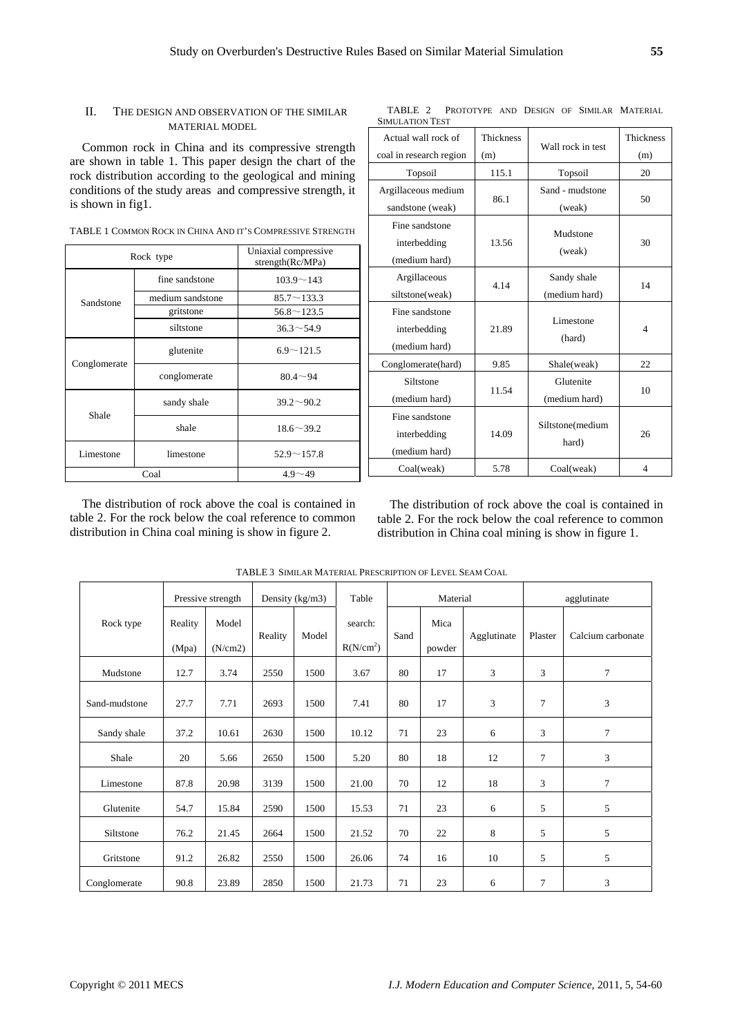SIMULATION TEST

#### II. THE DESIGN AND OBSERVATION OF THE SIMILAR MATERIAL MODEL

Common rock in China and its compressive strength are shown in table 1. This paper design the chart of the rock distribution according to the geological and mining conditions of the study areas and compressive strength, it is shown in fig1.

TABLE 1 COMMON ROCK IN CHINA AND IT'S COMPRESSIVE STRENGTH

|                        | Rock type        | Uniaxial compressive<br>strength(Rc/MPa) |  |
|------------------------|------------------|------------------------------------------|--|
|                        | fine sandstone   | $103.9 \sim 143$                         |  |
| Sandstone              | medium sandstone | $85.7 \sim 133.3$                        |  |
|                        | gritstone        | $56.8 \sim 123.5$                        |  |
|                        | siltstone        | $36.3 \sim 54.9$                         |  |
| Conglomerate           | glutenite        | $6.9 \sim 121.5$                         |  |
|                        | conglomerate     | $80.4 - 94$                              |  |
| Shale                  | sandy shale      | $39.2 \sim 90.2$                         |  |
|                        | shale            | $18.6 \sim 39.2$                         |  |
| Limestone<br>limestone |                  | $52.9 \sim 157.8$                        |  |
| Coal                   |                  | $4.9 - 49$                               |  |

| Actual wall rock of                             | <b>Thickness</b> | Wall rock in test            | Thickness |
|-------------------------------------------------|------------------|------------------------------|-----------|
| coal in research region                         | (m)              |                              | (m)       |
| Topsoil                                         | 115.1            | Topsoil                      | 20        |
| Argillaceous medium<br>sandstone (weak)         | 86.1             | Sand - mudstone<br>(weak)    | 50        |
| Fine sandstone<br>interbedding<br>(medium hard) | 13.56            | Mudstone<br>(weak)           | 30        |
| Argillaceous<br>siltstone(weak)                 | 4.14             | Sandy shale<br>(medium hard) | 14        |
| Fine sandstone<br>interbedding<br>(medium hard) | 21.89            | Limestone<br>(hard)          | 4         |
| Conglomerate(hard)                              | 9.85             | Shale(weak)                  | 22        |
| Siltstone<br>(medium hard)                      | 11.54            | Glutenite<br>(medium hard)   | 10        |
| Fine sandstone<br>interbedding<br>(medium hard) | 14.09            | Siltstone(medium<br>hard)    | 26        |
| Coal(weak)                                      | 5.78             | Coal(weak)                   | 4         |

TABLE 2 PROTOTYPE AND DESIGN OF SIMILAR MATERIAL

The distribution of rock above the coal is contained in table 2. For the rock below the coal reference to common distribution in China coal mining is show in figure 2.

The distribution of rock above the coal is contained in table 2. For the rock below the coal reference to common distribution in China coal mining is show in figure 1.

|               |                  | Pressive strength |         | Density (kg/m3) | Table                            | Material |                |             | agglutinate |                   |
|---------------|------------------|-------------------|---------|-----------------|----------------------------------|----------|----------------|-------------|-------------|-------------------|
| Rock type     | Reality<br>(Mpa) | Model<br>(N/cm2)  | Reality | Model           | search:<br>R(N/cm <sup>2</sup> ) | Sand     | Mica<br>powder | Agglutinate | Plaster     | Calcium carbonate |
| Mudstone      | 12.7             | 3.74              | 2550    | 1500            | 3.67                             | 80       | 17             | 3           | 3           | $\tau$            |
| Sand-mudstone | 27.7             | 7.71              | 2693    | 1500            | 7.41                             | 80       | 17             | 3           | 7           | 3                 |
| Sandy shale   | 37.2             | 10.61             | 2630    | 1500            | 10.12                            | 71       | 23             | 6           | 3           | 7                 |
| Shale         | 20               | 5.66              | 2650    | 1500            | 5.20                             | 80       | 18             | 12          | 7           | 3                 |
| Limestone     | 87.8             | 20.98             | 3139    | 1500            | 21.00                            | 70       | 12             | 18          | 3           | $\tau$            |
| Glutenite     | 54.7             | 15.84             | 2590    | 1500            | 15.53                            | 71       | 23             | 6           | 5           | 5                 |
| Siltstone     | 76.2             | 21.45             | 2664    | 1500            | 21.52                            | 70       | 22             | 8           | 5           | 5                 |
| Gritstone     | 91.2             | 26.82             | 2550    | 1500            | 26.06                            | 74       | 16             | 10          | 5           | 5                 |
| Conglomerate  | 90.8             | 23.89             | 2850    | 1500            | 21.73                            | 71       | 23             | 6           | 7           | 3                 |

TABLE 3 SIMILAR MATERIAL PRESCRIPTION OF LEVEL SEAM COAL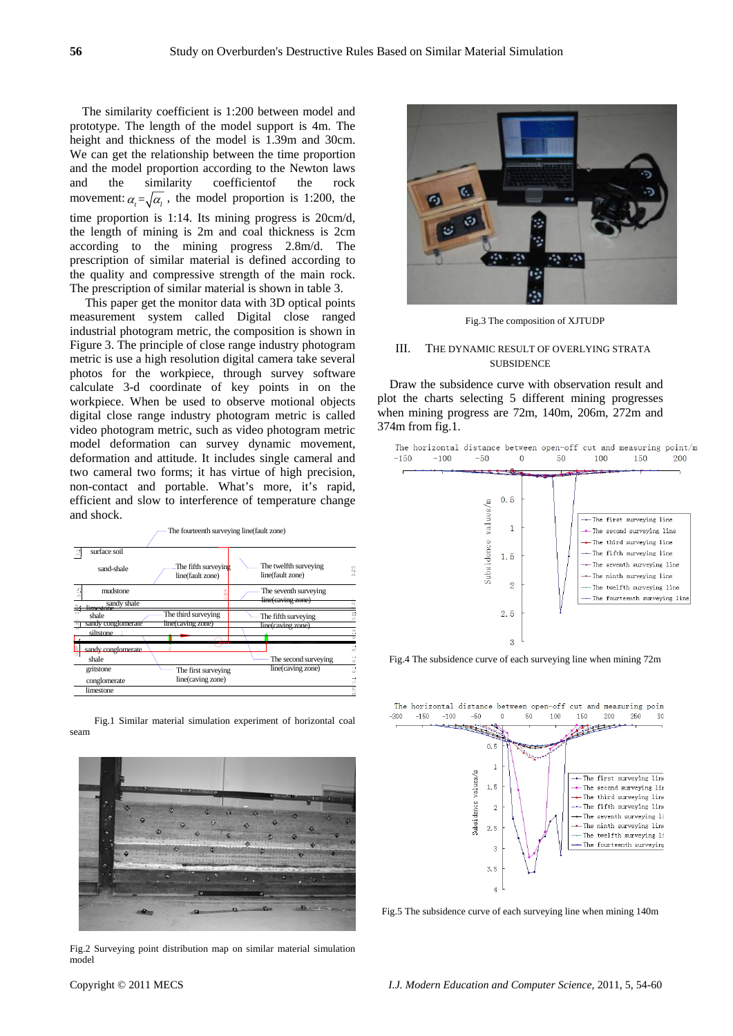The similarity coefficient is 1:200 between model and prototype. The length of the model support is 4m. The height and thickness of the model is 1.39m and 30cm. We can get the relationship between the time proportion and the model proportion according to the Newton laws and the similarity coefficientof the rock movement:  $\alpha_i = \sqrt{\alpha_i}$ , the model proportion is 1:200, the time proportion is 1:14. Its mining progress is 20cm/d, the length of mining is 2m and coal thickness is 2cm according to the mining progress 2.8m/d. The prescription of similar material is defined according to the quality and compressive strength of the main rock. The prescription of similar material is shown in table 3.

 This paper get the monitor data with 3D optical points measurement system called Digital close ranged industrial photogram metric, the composition is shown in Figure 3. The principle of close range industry photogram metric is use a high resolution digital camera take several photos for the workpiece, through survey software calculate 3-d coordinate of key points in on the workpiece. When be used to observe motional objects digital close range industry photogram metric is called video photogram metric, such as video photogram metric model deformation can survey dynamic movement, deformation and attitude. It includes single cameral and two cameral two forms; it has virtue of high precision, non-contact and portable. What's more, it's rapid, efficient and slow to interference of temperature change and shock.



Fig.1 Similar material simulation experiment of horizontal coal seam



Fig.2 Surveying point distribution map on similar material simulation model



Fig.3 The composition of XJTUDP

#### III. THE DYNAMIC RESULT OF OVERLYING STRATA **SUBSIDENCE**

Draw the subsidence curve with observation result and plot the charts selecting 5 different mining progresses when mining progress are 72m, 140m, 206m, 272m and 374m from fig.1.



Fig.4 The subsidence curve of each surveying line when mining 72m



Fig.5 The subsidence curve of each surveying line when mining 140m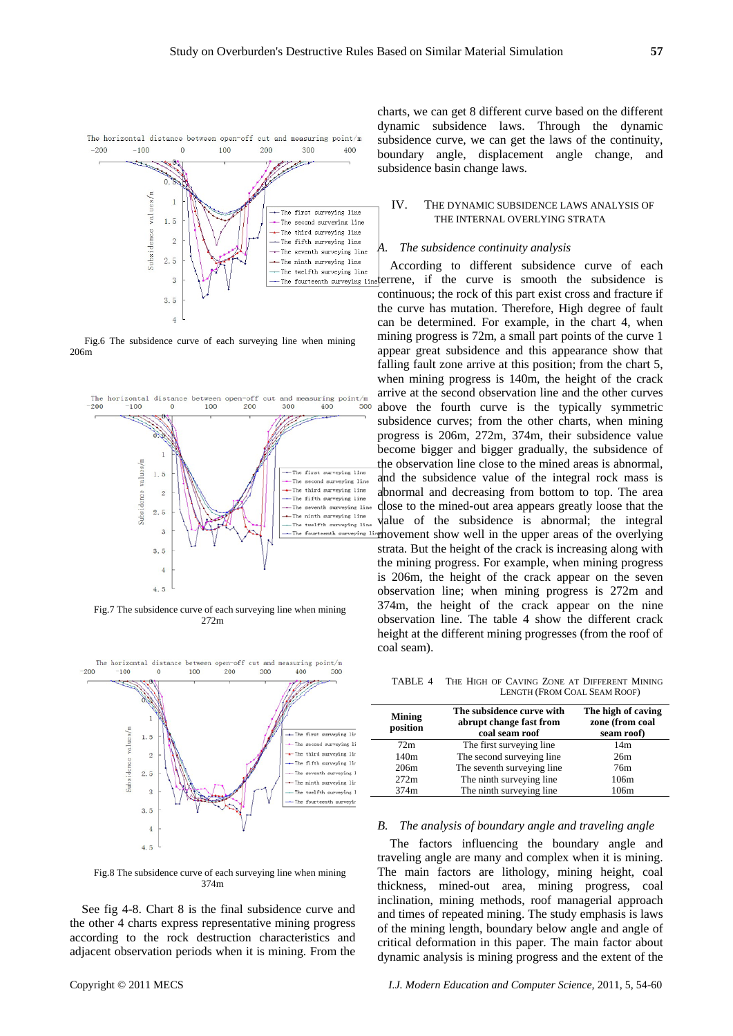

Fig.6 The subsidence curve of each surveying line when mining 206m



Fig.7 The subsidence curve of each surveying line when mining 272m



The horizontal dista open-off and uring point/  $-200$  $-100$  $\Omega$ 100 200 300 400 500

Fig.8 The subsidence curve of each surveying line when mining 374m

See fig 4-8. Chart 8 is the final subsidence curve and the other 4 charts express representative mining progress according to the rock destruction characteristics and adjacent observation periods when it is mining. From the charts, we can get 8 different curve based on the different dynamic subsidence laws. Through the dynamic subsidence curve, we can get the laws of the continuity, boundary angle, displacement angle change, and subsidence basin change laws.

#### IV. THE DYNAMIC SUBSIDENCE LAWS ANALYSIS OF THE INTERNAL OVERLYING STRATA

#### *A. The subsidence continuity analysis*

According to different subsidence curve of each The fourteenth surveying line terrene, if the curve is smooth the subsidence is continuous; the rock of this part exist cross and fracture if the curve has mutation. Therefore, High degree of fault can be determined. For example, in the chart 4, when mining progress is 72m, a small part points of the curve 1 appear great subsidence and this appearance show that falling fault zone arrive at this position; from the chart 5, when mining progress is 140m, the height of the crack arrive at the second observation line and the other curves above the fourth curve is the typically symmetric subsidence curves; from the other charts, when mining progress is 206m, 272m, 374m, their subsidence value become bigger and bigger gradually, the subsidence of the observation line close to the mined areas is abnormal, and the subsidence value of the integral rock mass is abnormal and decreasing from bottom to top. The area close to the mined-out area appears greatly loose that the value of the subsidence is abnormal; the integral The fourteenth surveying linghovement show well in the upper areas of the overlying strata. But the height of the crack is increasing along with the mining progress. For example, when mining progress is 206m, the height of the crack appear on the seven observation line; when mining progress is 272m and 374m, the height of the crack appear on the nine observation line. The table 4 show the different crack height at the different mining progresses (from the roof of coal seam).

TABLE 4 THE HIGH OF CAVING ZONE AT DIFFERENT MINING LENGTH (FROM COAL SEAM ROOF)

| <b>Mining</b><br>position | The subsidence curve with<br>abrupt change fast from<br>coal seam roof | The high of caving<br>zone (from coal<br>seam roof) |
|---------------------------|------------------------------------------------------------------------|-----------------------------------------------------|
| 72m                       | The first surveying line                                               | 14m                                                 |
| 140m                      | The second surveying line                                              | 26m                                                 |
| 206m                      | The seventh surveying line                                             | 76m                                                 |
| 272m                      | The ninth surveying line                                               | 106m                                                |
| 374m                      | The ninth surveying line                                               | 106m                                                |

#### *B. The analysis of boundary angle and traveling angle*

The factors influencing the boundary angle and traveling angle are many and complex when it is mining. The main factors are lithology, mining height, coal thickness, mined-out area, mining progress, coal inclination, mining methods, roof managerial approach and times of repeated mining. The study emphasis is laws of the mining length, boundary below angle and angle of critical deformation in this paper. The main factor about dynamic analysis is mining progress and the extent of the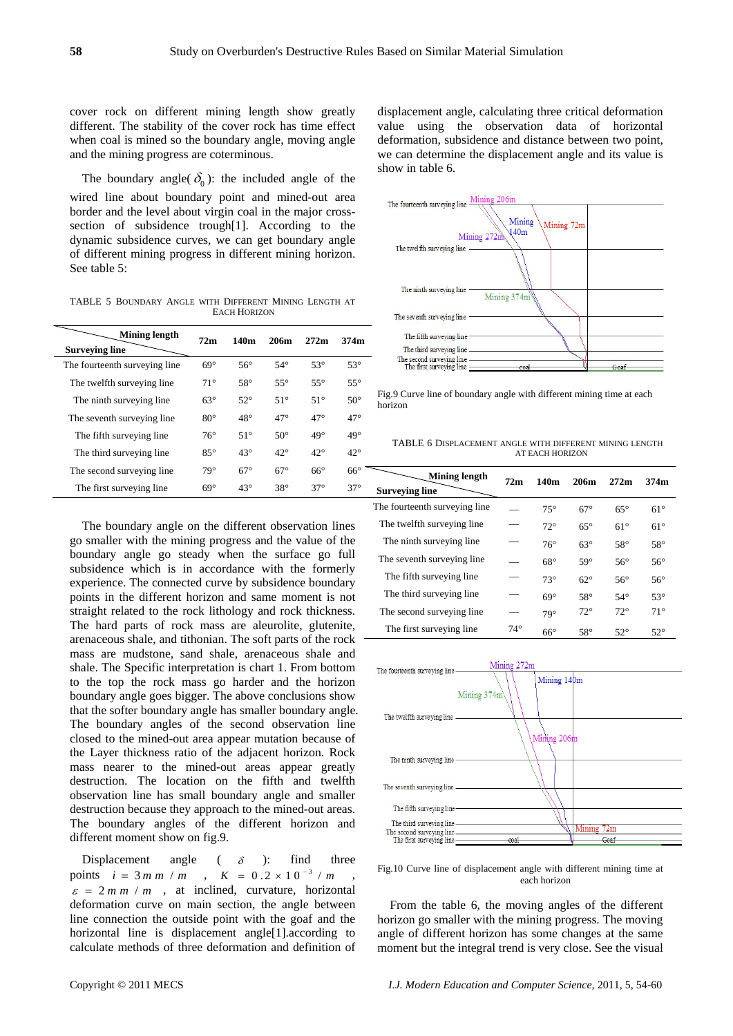cover rock on different mining length show greatly different. The stability of the cover rock has time effect when coal is mined so the boundary angle, moving angle and the mining progress are coterminous.

The boundary angle(  $\delta_0$ ): the included angle of the wired line about boundary point and mined-out area border and the level about virgin coal in the major crosssection of subsidence trough[1]. According to the dynamic subsidence curves, we can get boundary angle of different mining progress in different mining horizon. See table 5:

TABLE 5 BOUNDARY ANGLE WITH DIFFERENT MINING LENGTH AT EACH HORIZON

| Mining length                 | 72m          | 140m         | 206m         | 272m         | 374m         |  |
|-------------------------------|--------------|--------------|--------------|--------------|--------------|--|
| <b>Surveying line</b>         |              |              |              |              |              |  |
| The fourteenth surveying line | $69^\circ$   | $56^{\circ}$ | $54^\circ$   | $53^\circ$   | $53^\circ$   |  |
| The twelfth surveying line    | $71^\circ$   | $58^\circ$   | $55^{\circ}$ | $55^{\circ}$ | $55^{\circ}$ |  |
| The ninth surveying line.     | $63^\circ$   | $52^{\circ}$ | $51^\circ$   | $51^\circ$   | $50^{\circ}$ |  |
| The seventh surveying line.   | $80^{\circ}$ | $48^{\circ}$ | $47^\circ$   | $47^\circ$   | $47^\circ$   |  |
| The fifth surveying line.     | $76^{\circ}$ | $51^\circ$   | $50^\circ$   | $49^\circ$   | $49^\circ$   |  |
| The third surveying line.     | $85^\circ$   | $43^\circ$   | $42^{\circ}$ | $42^{\circ}$ | $42^{\circ}$ |  |
| The second surveying line     | $79^\circ$   | $67^\circ$   | $67^\circ$   | $66^\circ$   | $66^{\circ}$ |  |
| The first surveying line      | $69^\circ$   | $43^\circ$   | $38^\circ$   | $37^\circ$   | $37^\circ$   |  |

The boundary angle on the different observation lines go smaller with the mining progress and the value of the boundary angle go steady when the surface go full subsidence which is in accordance with the formerly experience. The connected curve by subsidence boundary points in the different horizon and same moment is not straight related to the rock lithology and rock thickness. The hard parts of rock mass are aleurolite, glutenite, arenaceous shale, and tithonian. The soft parts of the rock mass are mudstone, sand shale, arenaceous shale and shale. The Specific interpretation is chart 1. From bottom to the top the rock mass go harder and the horizon boundary angle goes bigger. The above conclusions show that the softer boundary angle has smaller boundary angle. The boundary angles of the second observation line closed to the mined-out area appear mutation because of the Layer thickness ratio of the adjacent horizon. Rock mass nearer to the mined-out areas appear greatly destruction. The location on the fifth and twelfth observation line has small boundary angle and smaller destruction because they approach to the mined-out areas. The boundary angles of the different horizon and different moment show on fig.9.

Displacement angle ( $\delta$  ): find three points  $i = 3 m m / m$ ,  $K = 0.2 \times 10^{-3} / m$  $\varepsilon = 2 m m / m$ , at inclined, curvature, horizontal deformation curve on main section, the angle between line connection the outside point with the goaf and the horizontal line is displacement angle[1].according to calculate methods of three deformation and definition of displacement angle, calculating three critical deformation value using the observation data of horizontal deformation, subsidence and distance between two point, we can determine the displacement angle and its value is show in table 6.



Fig.9 Curve line of boundary angle with different mining time at each horizon

TABLE 6 DISPLACEMENT ANGLE WITH DIFFERENT MINING LENGTH AT EACH HORIZON

| Mining length                 | 72m          | 140m         | 206m         | 272m         | 374m         |  |
|-------------------------------|--------------|--------------|--------------|--------------|--------------|--|
| <b>Surveying line</b>         |              |              |              |              |              |  |
| The fourteenth surveying line |              | $75^\circ$   | $67^\circ$   | $65^\circ$   | $61^\circ$   |  |
| The twelfth surveying line    |              | $72^{\circ}$ | $65^\circ$   | $61^\circ$   | $61^\circ$   |  |
| The ninth surveying line.     |              | $76^{\circ}$ | $63^\circ$   | $58^\circ$   | $58^\circ$   |  |
| The seventh surveying line.   |              | $68^\circ$   | $59^\circ$   | $56^{\circ}$ | $56^{\circ}$ |  |
| The fifth surveying line.     |              | $73^\circ$   | $62^{\circ}$ | $56^{\circ}$ | $56^{\circ}$ |  |
| The third surveying line      |              | $69^\circ$   | $58^\circ$   | $54^\circ$   | $53^\circ$   |  |
| The second surveying line     |              | $79^\circ$   | $72^{\circ}$ | $72^{\circ}$ | $71^\circ$   |  |
| The first surveying line.     | $74^{\circ}$ | $66^{\circ}$ | $58^\circ$   | $52^{\circ}$ | $52^{\circ}$ |  |



Fig.10 Curve line of displacement angle with different mining time at each horizon

From the table 6, the moving angles of the different horizon go smaller with the mining progress. The moving angle of different horizon has some changes at the same moment but the integral trend is very close. See the visual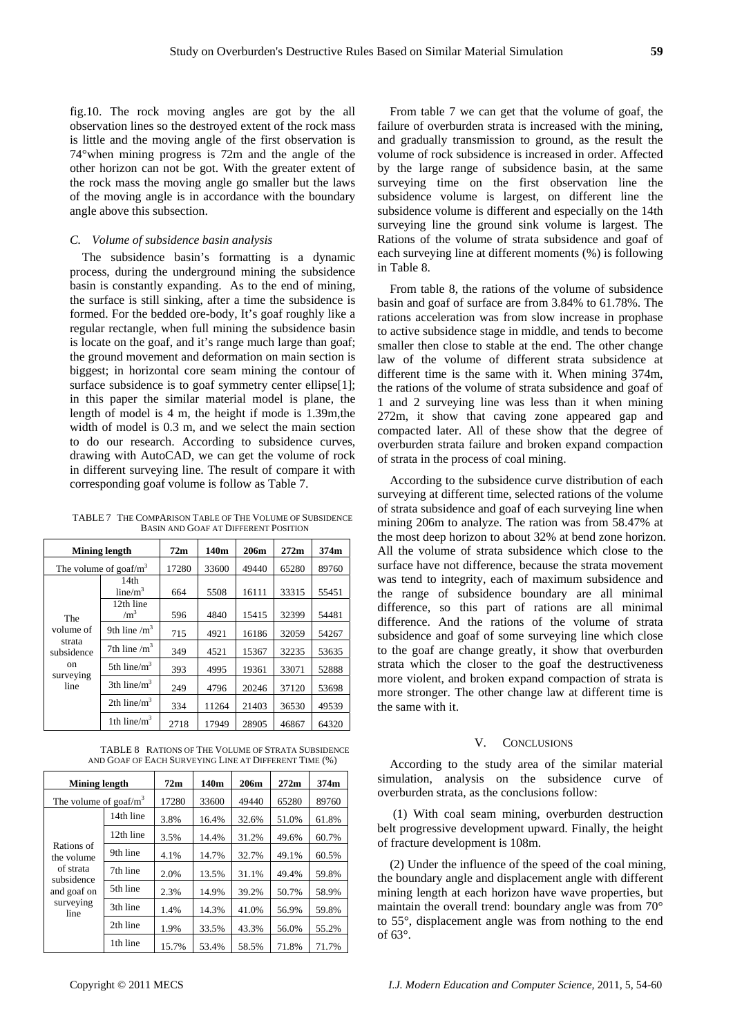fig.10. The rock moving angles are got by the all observation lines so the destroyed extent of the rock mass is little and the moving angle of the first observation is 74°when mining progress is 72m and the angle of the other horizon can not be got. With the greater extent of the rock mass the moving angle go smaller but the laws of the moving angle is in accordance with the boundary angle above this subsection.

### *C. Volume of subsidence basin analysis*

The subsidence basin's formatting is a dynamic process, during the underground mining the subsidence basin is constantly expanding. As to the end of mining, the surface is still sinking, after a time the subsidence is formed. For the bedded ore-body, It's goaf roughly like a regular rectangle, when full mining the subsidence basin is locate on the goaf, and it's range much large than goaf; the ground movement and deformation on main section is biggest; in horizontal core seam mining the contour of surface subsidence is to goaf symmetry center ellipse[1]; in this paper the similar material model is plane, the length of model is 4 m, the height if mode is 1.39m,the width of model is 0.3 m, and we select the main section to do our research. According to subsidence curves, drawing with AutoCAD, we can get the volume of rock in different surveying line. The result of compare it with corresponding goaf volume is follow as Table 7.

TABLE 7 THE COMPARISON TABLE OF THE VOLUME OF SUBSIDENCE BASIN AND GOAF AT DIFFERENT POSITION

| Mining length                                                                  |                           | 72m   | 140m  | 206m  | 272m  | 374m  |
|--------------------------------------------------------------------------------|---------------------------|-------|-------|-------|-------|-------|
| The volume of goaf/ $m3$                                                       |                           | 17280 | 33600 | 49440 | 65280 | 89760 |
|                                                                                | 14th<br>$line/m^3$        | 664   | 5508  | 16111 | 33315 | 55451 |
| The<br>volume of<br>strata<br>subsidence<br><sub>on</sub><br>surveying<br>line | 12th line<br>$\rm /m^3$   | 596   | 4840  | 15415 | 32399 | 54481 |
|                                                                                | 9th line $\rm /m^3$       | 715   | 4921  | 16186 | 32059 | 54267 |
|                                                                                | 7th line $\text{/m}^3$    | 349   | 4521  | 15367 | 32235 | 53635 |
|                                                                                | 5th line/ $m^3$           | 393   | 4995  | 19361 | 33071 | 52888 |
|                                                                                | $3th$ line/m <sup>3</sup> | 249   | 4796  | 20246 | 37120 | 53698 |
|                                                                                | 2th line/ $m^3$           | 334   | 11264 | 21403 | 36530 | 49539 |
|                                                                                | 1th line/ $m^3$           | 2718  | 17949 | 28905 | 46867 | 64320 |

TABLE 8 RATIONS OF THE VOLUME OF STRATA SUBSIDENCE AND GOAF OF EACH SURVEYING LINE AT DIFFERENT TIME (%)

| Mining length                                                                           |           | 72m   | 140m  | 206m  | 272m  | 374m  |
|-----------------------------------------------------------------------------------------|-----------|-------|-------|-------|-------|-------|
| The volume of goaf/ $m3$                                                                |           | 17280 | 33600 | 49440 | 65280 | 89760 |
| Rations of<br>the volume<br>of strata<br>subsidence<br>and goaf on<br>surveying<br>line | 14th line | 3.8%  | 16.4% | 32.6% | 51.0% | 61.8% |
|                                                                                         | 12th line | 3.5%  | 14.4% | 31.2% | 49.6% | 60.7% |
|                                                                                         | 9th line  | 4.1%  | 14.7% | 32.7% | 49.1% | 60.5% |
|                                                                                         | 7th line  | 2.0%  | 13.5% | 31.1% | 49.4% | 59.8% |
|                                                                                         | 5th line  | 2.3%  | 14.9% | 39.2% | 50.7% | 58.9% |
|                                                                                         | 3th line  | 1.4%  | 14.3% | 41.0% | 56.9% | 59.8% |
|                                                                                         | 2th line  | 1.9%  | 33.5% | 43.3% | 56.0% | 55.2% |
|                                                                                         | 1th line  | 15.7% | 53.4% | 58.5% | 71.8% | 71.7% |

From table 7 we can get that the volume of goaf, the failure of overburden strata is increased with the mining, and gradually transmission to ground, as the result the volume of rock subsidence is increased in order. Affected by the large range of subsidence basin, at the same surveying time on the first observation line the subsidence volume is largest, on different line the subsidence volume is different and especially on the 14th surveying line the ground sink volume is largest. The Rations of the volume of strata subsidence and goaf of each surveying line at different moments (%) is following in Table 8.

From table 8, the rations of the volume of subsidence basin and goaf of surface are from 3.84% to 61.78%. The rations acceleration was from slow increase in prophase to active subsidence stage in middle, and tends to become smaller then close to stable at the end. The other change law of the volume of different strata subsidence at different time is the same with it. When mining 374m, the rations of the volume of strata subsidence and goaf of 1 and 2 surveying line was less than it when mining 272m, it show that caving zone appeared gap and compacted later. All of these show that the degree of overburden strata failure and broken expand compaction of strata in the process of coal mining.

According to the subsidence curve distribution of each surveying at different time, selected rations of the volume of strata subsidence and goaf of each surveying line when mining 206m to analyze. The ration was from 58.47% at the most deep horizon to about 32% at bend zone horizon. All the volume of strata subsidence which close to the surface have not difference, because the strata movement was tend to integrity, each of maximum subsidence and the range of subsidence boundary are all minimal difference, so this part of rations are all minimal difference. And the rations of the volume of strata subsidence and goaf of some surveying line which close to the goaf are change greatly, it show that overburden strata which the closer to the goaf the destructiveness more violent, and broken expand compaction of strata is more stronger. The other change law at different time is the same with it.

#### V. CONCLUSIONS

According to the study area of the similar material simulation, analysis on the subsidence curve of overburden strata, as the conclusions follow:

 (1) With coal seam mining, overburden destruction belt progressive development upward. Finally, the height of fracture development is 108m.

(2) Under the influence of the speed of the coal mining, the boundary angle and displacement angle with different mining length at each horizon have wave properties, but maintain the overall trend: boundary angle was from 70° to 55°, displacement angle was from nothing to the end of 63°.